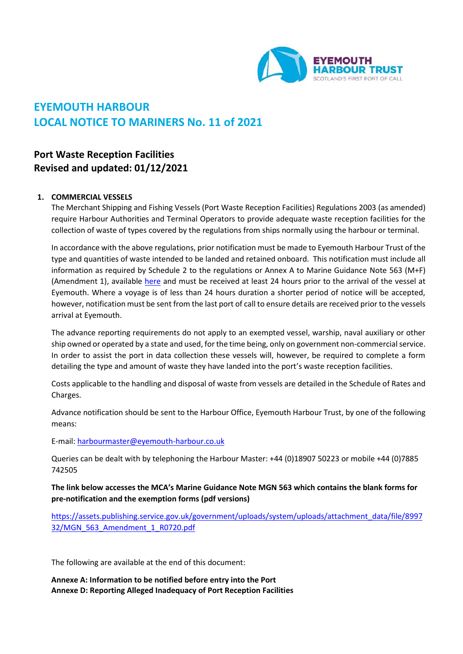

# **EYEMOUTH HARBOUR LOCAL NOTICE TO MARINERS No. 11 of 2021**

# **Port Waste Reception Facilities Revised and updated: 01/12/2021**

#### **1. COMMERCIAL VESSELS**

The Merchant Shipping and Fishing Vessels (Port Waste Reception Facilities) Regulations 2003 (as amended) require Harbour Authorities and Terminal Operators to provide adequate waste reception facilities for the collection of waste of types covered by the regulations from ships normally using the harbour or terminal.

In accordance with the above regulations, prior notification must be made to Eyemouth Harbour Trust of the type and quantities of waste intended to be landed and retained onboard. This notification must include all information as required by Schedule 2 to the regulations or Annex A to Marine Guidance Note 563 (M+F) (Amendment 1), available [here](https://www.gov.uk/government/publications/mgn-563-mf-amendment-1-guidance-on-the-merchant-shipping-and-fishing-vessels-port-waste-reception-facilities-regulations-2003) and must be received at least 24 hours prior to the arrival of the vessel at Eyemouth. Where a voyage is of less than 24 hours duration a shorter period of notice will be accepted, however, notification must be sent from the last port of call to ensure details are received prior to the vessels arrival at Eyemouth.

The advance reporting requirements do not apply to an exempted vessel, warship, naval auxiliary or other ship owned or operated by a state and used, for the time being, only on government non-commercial service. In order to assist the port in data collection these vessels will, however, be required to complete a form detailing the type and amount of waste they have landed into the port's waste reception facilities.

Costs applicable to the handling and disposal of waste from vessels are detailed in the Schedule of Rates and Charges.

Advance notification should be sent to the Harbour Office, Eyemouth Harbour Trust, by one of the following means:

E-mail[: harbourmaster@eyemouth-harbour.co.uk](mailto:harbourmaster@eyemouth-harbour.co.uk)

Queries can be dealt with by telephoning the Harbour Master: +44 (0)18907 50223 or mobile +44 (0)7885 742505

**The link below accesses the MCA's Marine Guidance Note MGN 563 which contains the blank forms for pre-notification and the exemption forms (pdf versions)**

[https://assets.publishing.service.gov.uk/government/uploads/system/uploads/attachment\\_data/file/8997](https://assets.publishing.service.gov.uk/government/uploads/system/uploads/attachment_data/file/899732/MGN_563_Amendment_1_R0720.pdf) [32/MGN\\_563\\_Amendment\\_1\\_R0720.pdf](https://assets.publishing.service.gov.uk/government/uploads/system/uploads/attachment_data/file/899732/MGN_563_Amendment_1_R0720.pdf)

The following are available at the end of this document:

**Annexe A: Information to be notified before entry into the Port Annexe D: Reporting Alleged Inadequacy of Port Reception Facilities**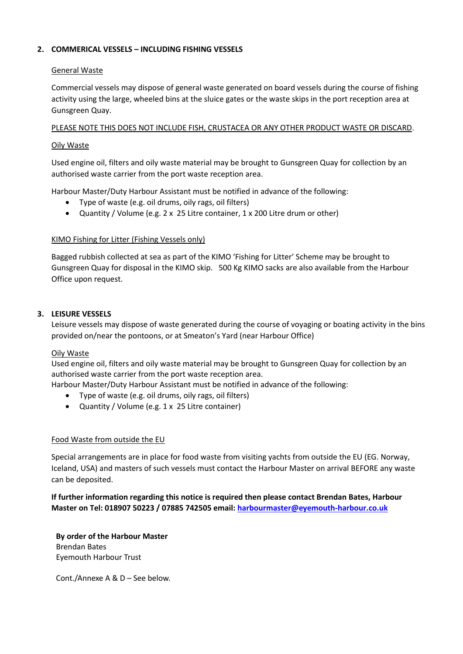# **2. COMMERICAL VESSELS – INCLUDING FISHING VESSELS**

#### General Waste

Commercial vessels may dispose of general waste generated on board vessels during the course of fishing activity using the large, wheeled bins at the sluice gates or the waste skips in the port reception area at Gunsgreen Quay.

# PLEASE NOTE THIS DOES NOT INCLUDE FISH, CRUSTACEA OR ANY OTHER PRODUCT WASTE OR DISCARD.

# Oily Waste

Used engine oil, filters and oily waste material may be brought to Gunsgreen Quay for collection by an authorised waste carrier from the port waste reception area.

Harbour Master/Duty Harbour Assistant must be notified in advance of the following:

- Type of waste (e.g. oil drums, oily rags, oil filters)
- Quantity / Volume (e.g. 2 x 25 Litre container, 1 x 200 Litre drum or other)

#### KIMO Fishing for Litter (Fishing Vessels only)

Bagged rubbish collected at sea as part of the KIMO 'Fishing for Litter' Scheme may be brought to Gunsgreen Quay for disposal in the KIMO skip. 500 Kg KIMO sacks are also available from the Harbour Office upon request.

# **3. LEISURE VESSELS**

Leisure vessels may dispose of waste generated during the course of voyaging or boating activity in the bins provided on/near the pontoons, or at Smeaton's Yard (near Harbour Office)

#### Oily Waste

Used engine oil, filters and oily waste material may be brought to Gunsgreen Quay for collection by an authorised waste carrier from the port waste reception area.

Harbour Master/Duty Harbour Assistant must be notified in advance of the following:

- Type of waste (e.g. oil drums, oily rags, oil filters)
- Quantity / Volume (e.g. 1 x 25 Litre container)

#### Food Waste from outside the EU

Special arrangements are in place for food waste from visiting yachts from outside the EU (EG. Norway, Iceland, USA) and masters of such vessels must contact the Harbour Master on arrival BEFORE any waste can be deposited.

**If further information regarding this notice is required then please contact Brendan Bates, Harbour Master on Tel: 018907 50223 / 07885 742505 email: [harbourmaster@eyemouth-harbour.co.uk](mailto:harbourmaster@eyemouth-harbour.co.uk)**

**By order of the Harbour Master** Brendan Bates Eyemouth Harbour Trust

Cont./Annexe A & D – See below.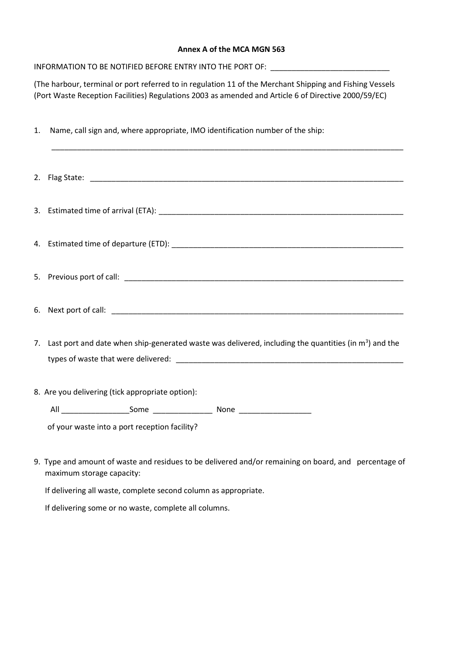#### **Annex A of the MCA MGN 563**

INFORMATION TO BE NOTIFIED BEFORE ENTRY INTO THE PORT OF: \_\_\_\_\_\_\_\_\_\_\_\_\_\_\_\_\_\_\_\_\_\_

(The harbour, terminal or port referred to in regulation 11 of the Merchant Shipping and Fishing Vessels (Port Waste Reception Facilities) Regulations 2003 as amended and Article 6 of Directive 2000/59/EC)

| 1. Name, call sign and, where appropriate, IMO identification number of the ship:                           |  |  |  |
|-------------------------------------------------------------------------------------------------------------|--|--|--|
|                                                                                                             |  |  |  |
|                                                                                                             |  |  |  |
|                                                                                                             |  |  |  |
|                                                                                                             |  |  |  |
|                                                                                                             |  |  |  |
| 7. Last port and date when ship-generated waste was delivered, including the quantities (in $m^3$ ) and the |  |  |  |
| 8. Are you delivering (tick appropriate option):                                                            |  |  |  |
|                                                                                                             |  |  |  |
| of your waste into a port reception facility?                                                               |  |  |  |
| 9. Type and amount of waste and residues to be delivered and/or remaining on board, and percentage of       |  |  |  |

maximum storage capacity:

If delivering all waste, complete second column as appropriate.

If delivering some or no waste, complete all columns.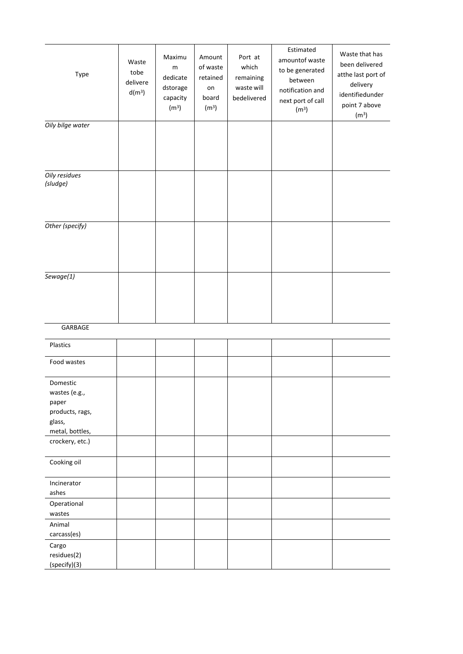| Type                                                                               | Waste<br>tobe<br>delivere<br>$d(m^3)$ | Maximu<br>m<br>dedicate<br>dstorage<br>capacity<br>(m <sup>3</sup> ) | Amount<br>of waste<br>retained<br>on<br>board<br>(m <sup>3</sup> ) | Port at<br>which<br>remaining<br>waste will<br>bedelivered | Estimated<br>amountof waste<br>to be generated<br>between<br>notification and<br>next port of call<br>(m <sup>3</sup> ) | Waste that has<br>been delivered<br>atthe last port of<br>delivery<br>identifiedunder<br>point 7 above<br>(m <sup>3</sup> ) |
|------------------------------------------------------------------------------------|---------------------------------------|----------------------------------------------------------------------|--------------------------------------------------------------------|------------------------------------------------------------|-------------------------------------------------------------------------------------------------------------------------|-----------------------------------------------------------------------------------------------------------------------------|
| Oily bilge water                                                                   |                                       |                                                                      |                                                                    |                                                            |                                                                                                                         |                                                                                                                             |
| Oily residues<br>(sludge)                                                          |                                       |                                                                      |                                                                    |                                                            |                                                                                                                         |                                                                                                                             |
| Other (specify)                                                                    |                                       |                                                                      |                                                                    |                                                            |                                                                                                                         |                                                                                                                             |
| Sewage(1)                                                                          |                                       |                                                                      |                                                                    |                                                            |                                                                                                                         |                                                                                                                             |
| GARBAGE                                                                            |                                       |                                                                      |                                                                    |                                                            |                                                                                                                         |                                                                                                                             |
| Plastics                                                                           |                                       |                                                                      |                                                                    |                                                            |                                                                                                                         |                                                                                                                             |
| Food wastes                                                                        |                                       |                                                                      |                                                                    |                                                            |                                                                                                                         |                                                                                                                             |
| Domestic<br>wastes (e.g.,<br>paper<br>products, rags,<br>glass,<br>metal, bottles, |                                       |                                                                      |                                                                    |                                                            |                                                                                                                         |                                                                                                                             |
| crockery, etc.)                                                                    |                                       |                                                                      |                                                                    |                                                            |                                                                                                                         |                                                                                                                             |
| Cooking oil<br>Incinerator<br>ashes                                                |                                       |                                                                      |                                                                    |                                                            |                                                                                                                         |                                                                                                                             |
| Operational                                                                        |                                       |                                                                      |                                                                    |                                                            |                                                                                                                         |                                                                                                                             |
| wastes<br>Animal<br>carcass(es)                                                    |                                       |                                                                      |                                                                    |                                                            |                                                                                                                         |                                                                                                                             |
| Cargo<br>residues(2)<br>(specify)(3)                                               |                                       |                                                                      |                                                                    |                                                            |                                                                                                                         |                                                                                                                             |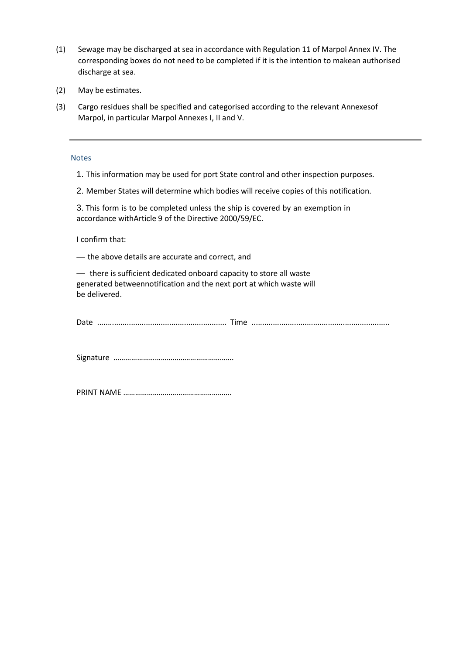- (1) Sewage may be discharged at sea in accordance with Regulation 11 of Marpol Annex IV. The corresponding boxes do not need to be completed if it is the intention to makean authorised discharge at sea.
- (2) May be estimates.
- (3) Cargo residues shall be specified and categorised according to the relevant Annexesof Marpol, in particular Marpol Annexes I, II and V.

#### **Notes**

- 1. This information may be used for port State control and other inspection purposes.
- 2. Member States will determine which bodies will receive copies of this notification.

3. This form is to be completed unless the ship is covered by an exemption in accordance withArticle 9 of the Directive 2000/59/EC.

I confirm that:

— the above details are accurate and correct, and

— there is sufficient dedicated onboard capacity to store all waste generated betweennotification and the next port at which waste will be delivered.

| ∽-<br>JdI' |  |  |
|------------|--|--|
|            |  |  |
|            |  |  |

Signature …………………………………………………….

PRINT NAME ……………………………………………….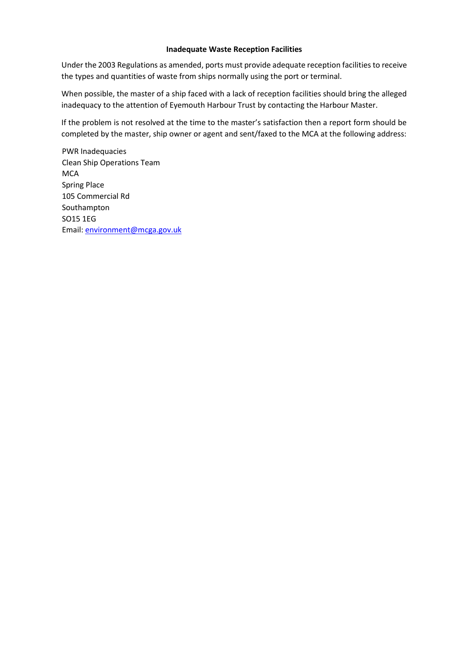#### **Inadequate Waste Reception Facilities**

Under the 2003 Regulations as amended, ports must provide adequate reception facilities to receive the types and quantities of waste from ships normally using the port or terminal.

When possible, the master of a ship faced with a lack of reception facilities should bring the alleged inadequacy to the attention of Eyemouth Harbour Trust by contacting the Harbour Master.

If the problem is not resolved at the time to the master's satisfaction then a report form should be completed by the master, ship owner or agent and sent/faxed to the MCA at the following address:

PWR Inadequacies Clean Ship Operations Team **MCA** Spring Place 105 Commercial Rd Southampton SO15 1EG Email[: environment@mcga.gov.uk](mailto:environment@mcga.gov.uk)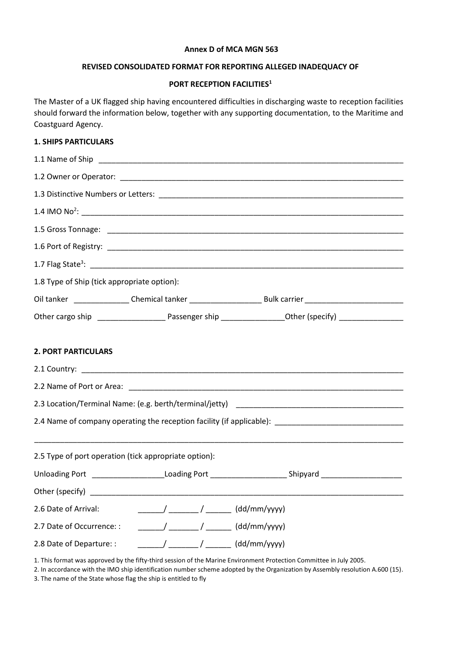#### **Annex D of MCA MGN 563**

#### **REVISED CONSOLIDATED FORMAT FOR REPORTING ALLEGED INADEQUACY OF**

# **PORT RECEPTION FACILITIES<sup>1</sup>**

The Master of a UK flagged ship having encountered difficulties in discharging waste to reception facilities should forward the information below, together with any supporting documentation, to the Maritime and Coastguard Agency.

# **1. SHIPS PARTICULARS**

| 1.8 Type of Ship (tick appropriate option):                                                                                                                                                                                                                                                                                                                                                                                                       |                                                                                                                                                                                                                                                                                                                                                                                                                       |                                                                                                                |  |  |
|---------------------------------------------------------------------------------------------------------------------------------------------------------------------------------------------------------------------------------------------------------------------------------------------------------------------------------------------------------------------------------------------------------------------------------------------------|-----------------------------------------------------------------------------------------------------------------------------------------------------------------------------------------------------------------------------------------------------------------------------------------------------------------------------------------------------------------------------------------------------------------------|----------------------------------------------------------------------------------------------------------------|--|--|
| Oil tanker _______________Chemical tanker ___________________________Bulk carrier ____________________________                                                                                                                                                                                                                                                                                                                                    |                                                                                                                                                                                                                                                                                                                                                                                                                       |                                                                                                                |  |  |
|                                                                                                                                                                                                                                                                                                                                                                                                                                                   |                                                                                                                                                                                                                                                                                                                                                                                                                       |                                                                                                                |  |  |
|                                                                                                                                                                                                                                                                                                                                                                                                                                                   |                                                                                                                                                                                                                                                                                                                                                                                                                       |                                                                                                                |  |  |
| <b>2. PORT PARTICULARS</b>                                                                                                                                                                                                                                                                                                                                                                                                                        |                                                                                                                                                                                                                                                                                                                                                                                                                       |                                                                                                                |  |  |
|                                                                                                                                                                                                                                                                                                                                                                                                                                                   |                                                                                                                                                                                                                                                                                                                                                                                                                       |                                                                                                                |  |  |
|                                                                                                                                                                                                                                                                                                                                                                                                                                                   |                                                                                                                                                                                                                                                                                                                                                                                                                       |                                                                                                                |  |  |
|                                                                                                                                                                                                                                                                                                                                                                                                                                                   |                                                                                                                                                                                                                                                                                                                                                                                                                       |                                                                                                                |  |  |
|                                                                                                                                                                                                                                                                                                                                                                                                                                                   |                                                                                                                                                                                                                                                                                                                                                                                                                       | 2.4 Name of company operating the reception facility (if applicable): ______________________________           |  |  |
|                                                                                                                                                                                                                                                                                                                                                                                                                                                   |                                                                                                                                                                                                                                                                                                                                                                                                                       |                                                                                                                |  |  |
| 2.5 Type of port operation (tick appropriate option):                                                                                                                                                                                                                                                                                                                                                                                             |                                                                                                                                                                                                                                                                                                                                                                                                                       |                                                                                                                |  |  |
|                                                                                                                                                                                                                                                                                                                                                                                                                                                   |                                                                                                                                                                                                                                                                                                                                                                                                                       | Unloading Port _______________________Loading Port ________________________Shipyard __________________________ |  |  |
|                                                                                                                                                                                                                                                                                                                                                                                                                                                   |                                                                                                                                                                                                                                                                                                                                                                                                                       |                                                                                                                |  |  |
| 2.6 Date of Arrival:                                                                                                                                                                                                                                                                                                                                                                                                                              | $\frac{1}{1-\frac{1}{1-\frac{1}{1-\frac{1}{1-\frac{1}{1-\frac{1}{1-\frac{1}{1-\frac{1}{1-\frac{1}{1-\frac{1}{1-\frac{1}{1-\frac{1}{1-\frac{1}{1-\frac{1}{1-\frac{1}{1-\frac{1}{1-\frac{1}{1-\frac{1}{1-\frac{1}{1-\frac{1}{1-\frac{1}{1-\frac{1}{1-\frac{1}{1-\frac{1}{1-\frac{1}{1-\frac{1}{1-\frac{1}{1-\frac{1}{1-\frac{1}{1-\frac{1}{1-\frac{1}{1-\frac{1}{1-\frac{1}{1-\frac{1}{1-\frac{1}{1-\frac{1}{1-\frac{1$ |                                                                                                                |  |  |
| 2.7 Date of Occurrence: :                                                                                                                                                                                                                                                                                                                                                                                                                         | _______/ _______ / _______ (dd/mm/yyyy)                                                                                                                                                                                                                                                                                                                                                                               |                                                                                                                |  |  |
| $\frac{1}{1-\frac{1}{1-\frac{1}{1-\frac{1}{1-\frac{1}{1-\frac{1}{1-\frac{1}{1-\frac{1}{1-\frac{1}{1-\frac{1}{1-\frac{1}{1-\frac{1}{1-\frac{1}{1-\frac{1}{1-\frac{1}{1-\frac{1}{1-\frac{1}{1-\frac{1}{1-\frac{1}{1-\frac{1}{1-\frac{1}{1-\frac{1}{1-\frac{1}{1-\frac{1}{1-\frac{1}{1-\frac{1}{1-\frac{1}{1-\frac{1}{1-\frac{1}{1-\frac{1}{1-\frac{1}{1-\frac{1}{1-\frac{1}{1-\frac{1}{1-\frac{1}{1-\frac{1}{1-\frac{1$<br>2.8 Date of Departure: : |                                                                                                                                                                                                                                                                                                                                                                                                                       |                                                                                                                |  |  |

1. This format was approved by the fifty-third session of the Marine Environment Protection Committee in July 2005.

2. In accordance with the IMO ship identification number scheme adopted by the Organization by Assembly resolution A.600 (15).

3. The name of the State whose flag the ship is entitled to fly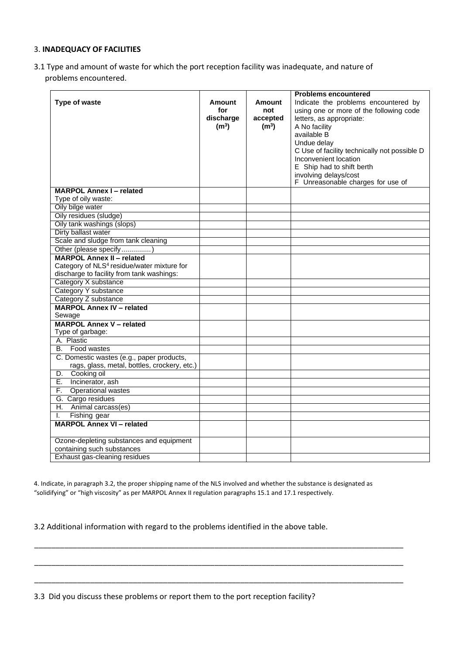#### 3. **INADEQUACY OF FACILITIES**

3.1 Type and amount of waste for which the port reception facility was inadequate, and nature of problems encountered.

|                                                        |                   |                   | <b>Problems encountered</b>                  |
|--------------------------------------------------------|-------------------|-------------------|----------------------------------------------|
| <b>Type of waste</b>                                   | Amount            | Amount            | Indicate the problems encountered by         |
|                                                        | for               | not               | using one or more of the following code      |
|                                                        | discharge         | accepted          | letters, as appropriate:                     |
|                                                        | (m <sup>3</sup> ) | (m <sup>3</sup> ) | A No facility                                |
|                                                        |                   |                   | available B                                  |
|                                                        |                   |                   | Undue delay                                  |
|                                                        |                   |                   | C Use of facility technically not possible D |
|                                                        |                   |                   | Inconvenient location                        |
|                                                        |                   |                   | E Ship had to shift berth                    |
|                                                        |                   |                   | involving delays/cost                        |
|                                                        |                   |                   | F Unreasonable charges for use of            |
| <b>MARPOL Annex I-related</b>                          |                   |                   |                                              |
| Type of oily waste:                                    |                   |                   |                                              |
| Oily bilge water                                       |                   |                   |                                              |
| Oily residues (sludge)                                 |                   |                   |                                              |
| Oily tank washings (slops)                             |                   |                   |                                              |
| Dirty ballast water                                    |                   |                   |                                              |
| Scale and sludge from tank cleaning                    |                   |                   |                                              |
| Other (please specify)                                 |                   |                   |                                              |
| <b>MARPOL Annex II - related</b>                       |                   |                   |                                              |
| Category of NLS <sup>4</sup> residue/water mixture for |                   |                   |                                              |
| discharge to facility from tank washings:              |                   |                   |                                              |
| Category X substance                                   |                   |                   |                                              |
| Category Y substance                                   |                   |                   |                                              |
| Category Z substance                                   |                   |                   |                                              |
| <b>MARPOL Annex IV - related</b>                       |                   |                   |                                              |
| Sewage                                                 |                   |                   |                                              |
| <b>MARPOL Annex V - related</b>                        |                   |                   |                                              |
| Type of garbage:                                       |                   |                   |                                              |
| A. Plastic                                             |                   |                   |                                              |
| B. Food wastes                                         |                   |                   |                                              |
| C. Domestic wastes (e.g., paper products,              |                   |                   |                                              |
| rags, glass, metal, bottles, crockery, etc.)           |                   |                   |                                              |
| D. Cooking oil                                         |                   |                   |                                              |
| E.<br>Incinerator, ash                                 |                   |                   |                                              |
| F.<br><b>Operational wastes</b>                        |                   |                   |                                              |
| G. Cargo residues                                      |                   |                   |                                              |
| H. Animal carcass(es)                                  |                   |                   |                                              |
| Fishing gear<br>I.                                     |                   |                   |                                              |
| <b>MARPOL Annex VI - related</b>                       |                   |                   |                                              |
| Ozone-depleting substances and equipment               |                   |                   |                                              |
| containing such substances                             |                   |                   |                                              |
| Exhaust gas-cleaning residues                          |                   |                   |                                              |

4. Indicate, in paragraph 3.2, the proper shipping name of the NLS involved and whether the substance is designated as "solidifying" or "high viscosity" as per MARPOL Annex II regulation paragraphs 15.1 and 17.1 respectively.

\_\_\_\_\_\_\_\_\_\_\_\_\_\_\_\_\_\_\_\_\_\_\_\_\_\_\_\_\_\_\_\_\_\_\_\_\_\_\_\_\_\_\_\_\_\_\_\_\_\_\_\_\_\_\_\_\_\_\_\_\_\_\_\_\_\_\_\_\_\_\_\_\_\_\_\_\_\_\_\_\_\_\_\_\_\_

\_\_\_\_\_\_\_\_\_\_\_\_\_\_\_\_\_\_\_\_\_\_\_\_\_\_\_\_\_\_\_\_\_\_\_\_\_\_\_\_\_\_\_\_\_\_\_\_\_\_\_\_\_\_\_\_\_\_\_\_\_\_\_\_\_\_\_\_\_\_\_\_\_\_\_\_\_\_\_\_\_\_\_\_\_\_

\_\_\_\_\_\_\_\_\_\_\_\_\_\_\_\_\_\_\_\_\_\_\_\_\_\_\_\_\_\_\_\_\_\_\_\_\_\_\_\_\_\_\_\_\_\_\_\_\_\_\_\_\_\_\_\_\_\_\_\_\_\_\_\_\_\_\_\_\_\_\_\_\_\_\_\_\_\_\_\_\_\_\_\_\_\_

3.2 Additional information with regard to the problems identified in the above table.

3.3 Did you discuss these problems or report them to the port reception facility?